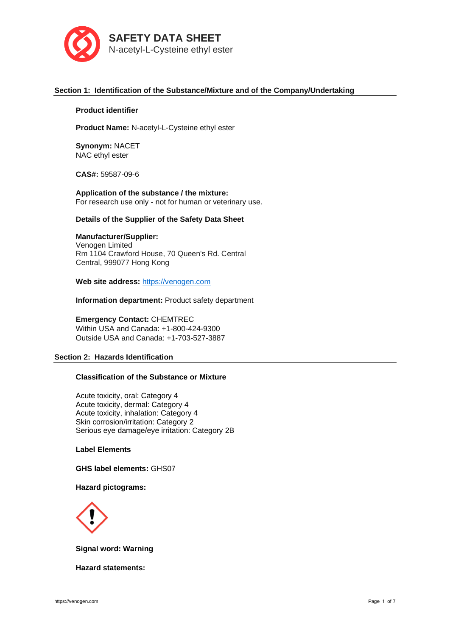

# **Section 1: Identification of the Substance/Mixture and of the Company/Undertaking**

## **Product identifier**

**Product Name:** N-acetyl-L-Cysteine ethyl ester

**Synonym:** NACET NAC ethyl ester

**CAS#:** 59587-09-6

**Application of the substance / the mixture:** For research use only - not for human or veterinary use.

# **Details of the Supplier of the Safety Data Sheet**

# **Manufacturer/Supplier:**

Venogen Limited Rm 1104 Crawford House, 70 Queen's Rd. Central Central, 999077 Hong Kong

**Web site address:** [https://venogen.com](https://venogen.com/)

**Information department:** Product safety department

**Emergency Contact:** CHEMTREC Within USA and Canada: +1-800-424-9300 Outside USA and Canada: +1-703-527-3887

# **Section 2: Hazards Identification**

# **Classification of the Substance or Mixture**

Acute toxicity, oral: Category 4 Acute toxicity, dermal: Category 4 Acute toxicity, inhalation: Category 4 Skin corrosion/irritation: Category 2 Serious eye damage/eye irritation: Category 2B

## **Label Elements**

**GHS label elements:** GHS07

## **Hazard pictograms:**



**Signal word: Warning**

**Hazard statements:**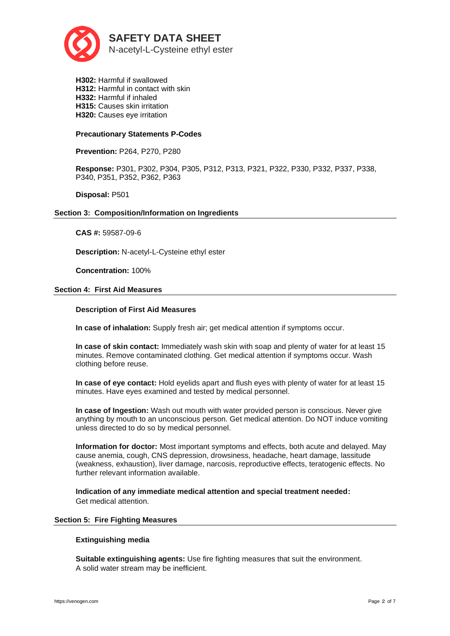

**H302:** Harmful if swallowed **H312:** Harmful in contact with skin **H332:** Harmful if inhaled **H315:** Causes skin irritation **H320:** Causes eye irritation

## **Precautionary Statements P-Codes**

**Prevention:** P264, P270, P280

**Response:** P301, P302, P304, P305, P312, P313, P321, P322, P330, P332, P337, P338, P340, P351, P352, P362, P363

**Disposal:** P501

## **Section 3: Composition/Information on Ingredients**

**CAS #:** 59587-09-6

**Description:** N-acetyl-L-Cysteine ethyl ester

**Concentration:** 100%

## **Section 4: First Aid Measures**

# **Description of First Aid Measures**

**In case of inhalation:** Supply fresh air; get medical attention if symptoms occur.

**In case of skin contact:** Immediately wash skin with soap and plenty of water for at least 15 minutes. Remove contaminated clothing. Get medical attention if symptoms occur. Wash clothing before reuse.

**In case of eye contact:** Hold eyelids apart and flush eyes with plenty of water for at least 15 minutes. Have eyes examined and tested by medical personnel.

**In case of Ingestion:** Wash out mouth with water provided person is conscious. Never give anything by mouth to an unconscious person. Get medical attention. Do NOT induce vomiting unless directed to do so by medical personnel.

**Information for doctor:** Most important symptoms and effects, both acute and delayed. May cause anemia, cough, CNS depression, drowsiness, headache, heart damage, lassitude (weakness, exhaustion), liver damage, narcosis, reproductive effects, teratogenic effects. No further relevant information available.

**Indication of any immediate medical attention and special treatment needed:**  Get medical attention.

## **Section 5: Fire Fighting Measures**

# **Extinguishing media**

**Suitable extinguishing agents:** Use fire fighting measures that suit the environment. A solid water stream may be inefficient.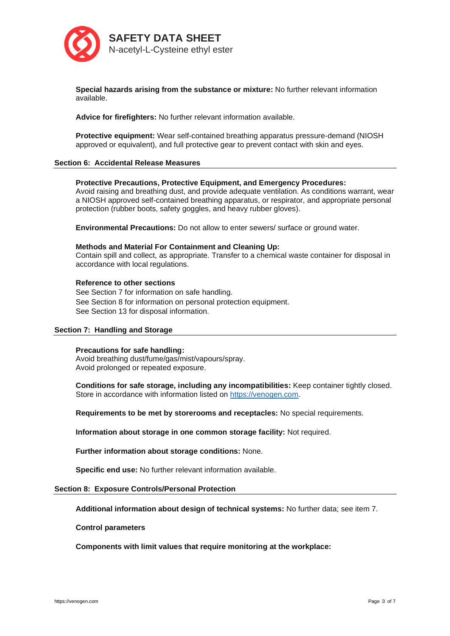

**Special hazards arising from the substance or mixture:** No further relevant information available.

**Advice for firefighters:** No further relevant information available.

**Protective equipment:** Wear self-contained breathing apparatus pressure-demand (NIOSH approved or equivalent), and full protective gear to prevent contact with skin and eyes.

## **Section 6: Accidental Release Measures**

## **Protective Precautions, Protective Equipment, and Emergency Procedures:**

Avoid raising and breathing dust, and provide adequate ventilation. As conditions warrant, wear a NIOSH approved self-contained breathing apparatus, or respirator, and appropriate personal protection (rubber boots, safety goggles, and heavy rubber gloves).

**Environmental Precautions:** Do not allow to enter sewers/ surface or ground water.

## **Methods and Material For Containment and Cleaning Up:**

Contain spill and collect, as appropriate. Transfer to a chemical waste container for disposal in accordance with local regulations.

## **Reference to other sections**

See Section 7 for information on safe handling. See Section 8 for information on personal protection equipment. See Section 13 for disposal information.

# **Section 7: Handling and Storage**

## **Precautions for safe handling:**

Avoid breathing dust/fume/gas/mist/vapours/spray. Avoid prolonged or repeated exposure.

**Conditions for safe storage, including any incompatibilities:** Keep container tightly closed. Store in accordance with information listed on [https://venogen.com.](https://venogen.com/)

**Requirements to be met by storerooms and receptacles:** No special requirements.

**Information about storage in one common storage facility:** Not required.

**Further information about storage conditions:** None.

**Specific end use:** No further relevant information available.

## **Section 8: Exposure Controls/Personal Protection**

**Additional information about design of technical systems:** No further data; see item 7.

## **Control parameters**

**Components with limit values that require monitoring at the workplace:**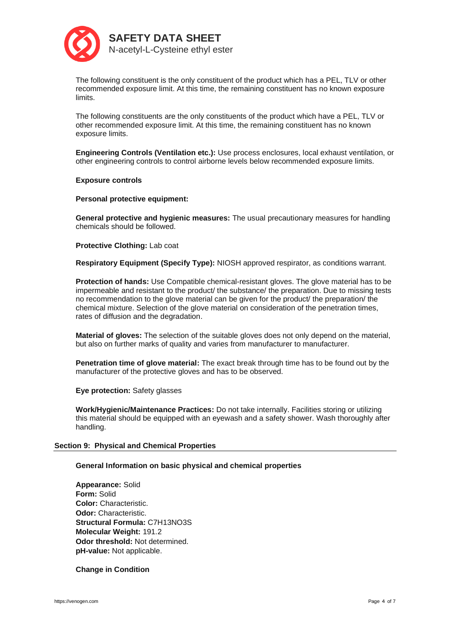

The following constituent is the only constituent of the product which has a PEL, TLV or other recommended exposure limit. At this time, the remaining constituent has no known exposure limits.

The following constituents are the only constituents of the product which have a PEL, TLV or other recommended exposure limit. At this time, the remaining constituent has no known exposure limits.

**Engineering Controls (Ventilation etc.):** Use process enclosures, local exhaust ventilation, or other engineering controls to control airborne levels below recommended exposure limits.

**Exposure controls**

**Personal protective equipment:**

**General protective and hygienic measures:** The usual precautionary measures for handling chemicals should be followed.

**Protective Clothing:** Lab coat

**Respiratory Equipment (Specify Type):** NIOSH approved respirator, as conditions warrant.

**Protection of hands:** Use Compatible chemical-resistant gloves. The glove material has to be impermeable and resistant to the product/ the substance/ the preparation. Due to missing tests no recommendation to the glove material can be given for the product/ the preparation/ the chemical mixture. Selection of the glove material on consideration of the penetration times, rates of diffusion and the degradation.

**Material of gloves:** The selection of the suitable gloves does not only depend on the material, but also on further marks of quality and varies from manufacturer to manufacturer.

**Penetration time of glove material:** The exact break through time has to be found out by the manufacturer of the protective gloves and has to be observed.

**Eye protection:** Safety glasses

**Work/Hygienic/Maintenance Practices:** Do not take internally. Facilities storing or utilizing this material should be equipped with an eyewash and a safety shower. Wash thoroughly after handling.

# **Section 9: Physical and Chemical Properties**

# **General Information on basic physical and chemical properties**

**Appearance:** Solid **Form:** Solid **Color:** Characteristic. **Odor:** Characteristic. **Structural Formula:** C7H13NO3S **Molecular Weight:** 191.2 **Odor threshold:** Not determined. **pH-value:** Not applicable.

# **Change in Condition**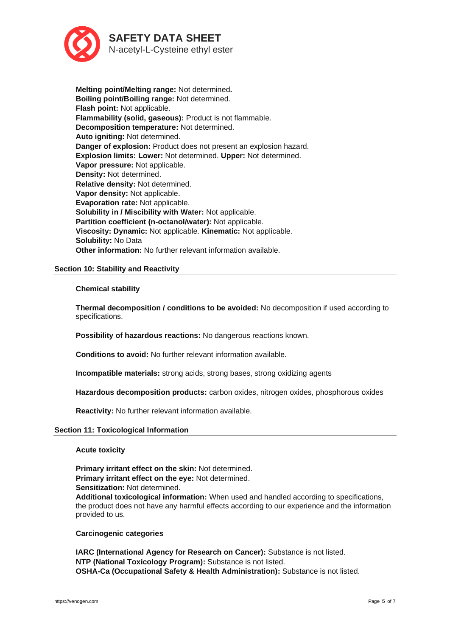

**Melting point/Melting range:** Not determined**. Boiling point/Boiling range:** Not determined. **Flash point:** Not applicable. **Flammability (solid, gaseous):** Product is not flammable. **Decomposition temperature:** Not determined. **Auto igniting:** Not determined. **Danger of explosion:** Product does not present an explosion hazard. **Explosion limits: Lower:** Not determined. **Upper:** Not determined. **Vapor pressure:** Not applicable. **Density:** Not determined. **Relative density:** Not determined. **Vapor density:** Not applicable. **Evaporation rate:** Not applicable. **Solubility in / Miscibility with Water:** Not applicable. **Partition coefficient (n-octanol/water):** Not applicable. **Viscosity: Dynamic:** Not applicable. **Kinematic:** Not applicable. **Solubility:** No Data **Other information:** No further relevant information available.

# **Section 10: Stability and Reactivity**

## **Chemical stability**

**Thermal decomposition / conditions to be avoided:** No decomposition if used according to specifications.

**Possibility of hazardous reactions:** No dangerous reactions known.

**Conditions to avoid:** No further relevant information available.

**Incompatible materials:** strong acids, strong bases, strong oxidizing agents

**Hazardous decomposition products:** carbon oxides, nitrogen oxides, phosphorous oxides

**Reactivity:** No further relevant information available.

## **Section 11: Toxicological Information**

**Acute toxicity**

**Primary irritant effect on the skin:** Not determined. **Primary irritant effect on the eye:** Not determined. **Sensitization:** Not determined.

**Additional toxicological information:** When used and handled according to specifications, the product does not have any harmful effects according to our experience and the information provided to us.

# **Carcinogenic categories**

**IARC (International Agency for Research on Cancer):** Substance is not listed. **NTP (National Toxicology Program):** Substance is not listed. **OSHA-Ca (Occupational Safety & Health Administration):** Substance is not listed.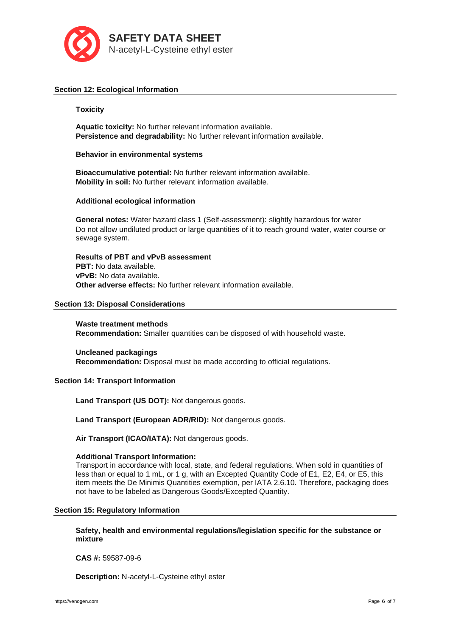

# **Section 12: Ecological Information**

## **Toxicity**

**Aquatic toxicity:** No further relevant information available. **Persistence and degradability:** No further relevant information available.

**Behavior in environmental systems**

**Bioaccumulative potential:** No further relevant information available. **Mobility in soil:** No further relevant information available.

## **Additional ecological information**

**General notes:** Water hazard class 1 (Self-assessment): slightly hazardous for water Do not allow undiluted product or large quantities of it to reach ground water, water course or sewage system.

**Results of PBT and vPvB assessment PBT:** No data available. **vPvB:** No data available. **Other adverse effects:** No further relevant information available.

## **Section 13: Disposal Considerations**

**Waste treatment methods Recommendation:** Smaller quantities can be disposed of with household waste.

**Uncleaned packagings Recommendation:** Disposal must be made according to official regulations.

# **Section 14: Transport Information**

**Land Transport (US DOT):** Not dangerous goods.

**Land Transport (European ADR/RID):** Not dangerous goods.

**Air Transport (ICAO/IATA):** Not dangerous goods.

## **Additional Transport Information:**

Transport in accordance with local, state, and federal regulations. When sold in quantities of less than or equal to 1 mL, or 1 g, with an Excepted Quantity Code of E1, E2, E4, or E5, this item meets the De Minimis Quantities exemption, per IATA 2.6.10. Therefore, packaging does not have to be labeled as Dangerous Goods/Excepted Quantity.

## **Section 15: Regulatory Information**

**Safety, health and environmental regulations/legislation specific for the substance or mixture**

**CAS #:** 59587-09-6

**Description:** N-acetyl-L-Cysteine ethyl ester